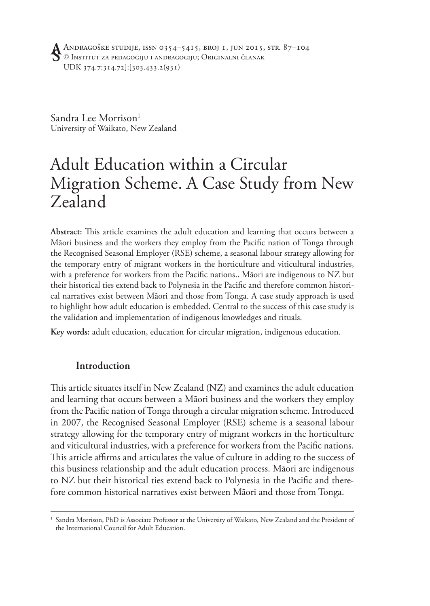Sandra Lee Morrison<sup>1</sup> University of Waikato, New Zealand

# Adult Education within a Circular Migration Scheme. A Case Study from New Zealand

**Abstract:** This article examines the adult education and learning that occurs between a Māori business and the workers they employ from the Pacific nation of Tonga through the Recognised Seasonal Employer (RSE) scheme, a seasonal labour strategy allowing for the temporary entry of migrant workers in the horticulture and viticultural industries, with a preference for workers from the Pacific nations.. Māori are indigenous to NZ but their historical ties extend back to Polynesia in the Pacific and therefore common historical narratives exist between Māori and those from Tonga. A case study approach is used to highlight how adult education is embedded. Central to the success of this case study is the validation and implementation of indigenous knowledges and rituals.

**Key words:** adult education, education for circular migration, indigenous education.

## **Introduction**

This article situates itself in New Zealand (NZ) and examines the adult education and learning that occurs between a Māori business and the workers they employ from the Pacific nation of Tonga through a circular migration scheme. Introduced in 2007, the Recognised Seasonal Employer (RSE) scheme is a seasonal labour strategy allowing for the temporary entry of migrant workers in the horticulture and viticultural industries, with a preference for workers from the Pacific nations. This article affirms and articulates the value of culture in adding to the success of this business relationship and the adult education process. Māori are indigenous to NZ but their historical ties extend back to Polynesia in the Pacific and therefore common historical narratives exist between Māori and those from Tonga.

<sup>1</sup> Sandra Morrison, PhD is Associate Professor at the University of Waikato, New Zealand and the President of the International Council for Adult Education.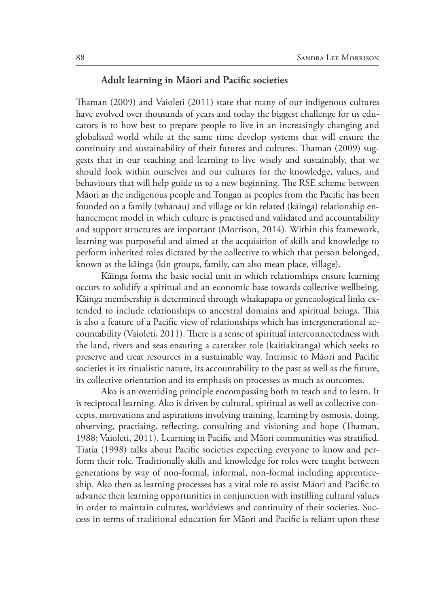## **Adult learning in Māori and Pacific societies**

Thaman (2009) and Vaioleti (2011) state that many of our indigenous cultures have evolved over thousands of years and today the biggest challenge for us educators is to how best to prepare people to live in an increasingly changing and globalised world while at the same time develop systems that will ensure the continuity and sustainability of their futures and cultures. Thaman (2009) suggests that in our teaching and learning to live wisely and sustainably, that we should look within ourselves and our cultures for the knowledge, values, and behaviours that will help guide us to a new beginning. The RSE scheme between Māori as the indigenous people and Tongan as peoples from the Pacific has been founded on a family (whānau) and village or kin related (kāinga) relationship enhancement model in which culture is practised and validated and accountability and support structures are important (Morrison, 2014). Within this framework, learning was purposeful and aimed at the acquisition of skills and knowledge to perform inherited roles dictated by the collective to which that person belonged, known as the kāinga (kin groups, family, can also mean place, village).

Kāinga forms the basic social unit in which relationships ensure learning occurs to solidify a spiritual and an economic base towards collective wellbeing. Kāinga membership is determined through whakapapa or geneaological links extended to include relationships to ancestral domains and spiritual beings. This is also a feature of a Pacific view of relationships which has intergenerational accountability (Vaioleti, 2011). There is a sense of spiritual interconnectedness with the land, rivers and seas ensuring a caretaker role (kaitiakitanga) which seeks to preserve and treat resources in a sustainable way. Intrinsic to Māori and Pacific societies is its ritualistic nature, its accountability to the past as well as the future, its collective orientation and its emphasis on processes as much as outcomes.

Ako is an overriding principle encompassing both to teach and to learn. It is reciprocal learning. Ako is driven by cultural, spiritual as well as collective concepts, motivations and aspirations involving training, learning by osmosis, doing, observing, practising, reflecting, consulting and visioning and hope (Thaman, 1988; Vaioleti, 2011). Learning in Pacific and Māori communities was stratified. Tiatia (1998) talks about Pacific societies expecting everyone to know and perform their role. Traditionally skills and knowledge for roles were taught between generations by way of non-formal, informal, non-formal including apprenticeship. Ako then as learning processes has a vital role to assist Māori and Pacific to advance their learning opportunities in conjunction with instilling cultural values in order to maintain cultures, worldviews and continuity of their societies. Success in terms of traditional education for Māori and Pacific is reliant upon these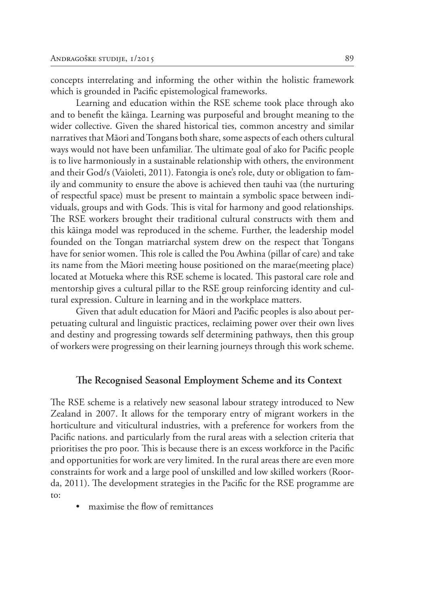concepts interrelating and informing the other within the holistic framework which is grounded in Pacific epistemological frameworks.

Learning and education within the RSE scheme took place through ako and to benefit the kāinga. Learning was purposeful and brought meaning to the wider collective. Given the shared historical ties, common ancestry and similar narratives that Māori and Tongans both share, some aspects of each others cultural ways would not have been unfamiliar. The ultimate goal of ako for Pacific people is to live harmoniously in a sustainable relationship with others, the environment and their God/s (Vaioleti, 2011). Fatongia is one's role, duty or obligation to family and community to ensure the above is achieved then tauhi vaa (the nurturing of respectful space) must be present to maintain a symbolic space between individuals, groups and with Gods. This is vital for harmony and good relationships. The RSE workers brought their traditional cultural constructs with them and this kāinga model was reproduced in the scheme. Further, the leadership model founded on the Tongan matriarchal system drew on the respect that Tongans have for senior women. This role is called the Pou Awhina (pillar of care) and take its name from the Māori meeting house positioned on the marae(meeting place) located at Motueka where this RSE scheme is located. This pastoral care role and mentorship gives a cultural pillar to the RSE group reinforcing identity and cultural expression. Culture in learning and in the workplace matters.

Given that adult education for Māori and Pacific peoples is also about perpetuating cultural and linguistic practices, reclaiming power over their own lives and destiny and progressing towards self determining pathways, then this group of workers were progressing on their learning journeys through this work scheme.

#### **The Recognised Seasonal Employment Scheme and its Context**

The RSE scheme is a relatively new seasonal labour strategy introduced to New Zealand in 2007. It allows for the temporary entry of migrant workers in the horticulture and viticultural industries, with a preference for workers from the Pacific nations. and particularly from the rural areas with a selection criteria that prioritises the pro poor. This is because there is an excess workforce in the Pacific and opportunities for work are very limited. In the rural areas there are even more constraints for work and a large pool of unskilled and low skilled workers (Roorda, 2011). The development strategies in the Pacific for the RSE programme are to:

• maximise the flow of remittances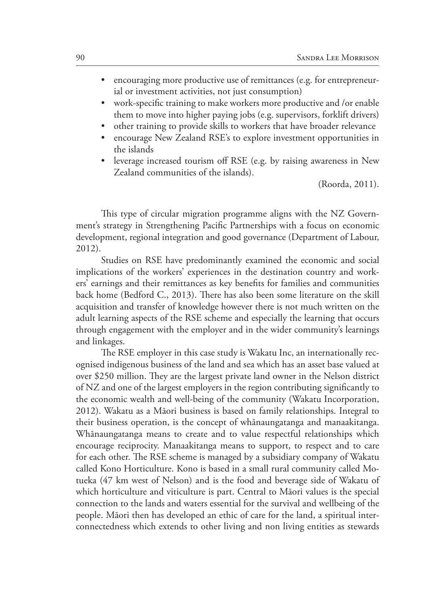- encouraging more productive use of remittances (e.g. for entrepreneurial or investment activities, not just consumption)
- work-specific training to make workers more productive and /or enable them to move into higher paying jobs (e.g. supervisors, forklift drivers)
- other training to provide skills to workers that have broader relevance
- encourage New Zealand RSE's to explore investment opportunities in the islands
- leverage increased tourism off RSE (e.g. by raising awareness in New Zealand communities of the islands).

(Roorda, 2011).

This type of circular migration programme aligns with the NZ Government's strategy in Strengthening Pacific Partnerships with a focus on economic development, regional integration and good governance (Department of Labour, 2012).

Studies on RSE have predominantly examined the economic and social implications of the workers' experiences in the destination country and workers' earnings and their remittances as key benefits for families and communities back home (Bedford C., 2013). There has also been some literature on the skill acquisition and transfer of knowledge however there is not much written on the adult learning aspects of the RSE scheme and especially the learning that occurs through engagement with the employer and in the wider community's learnings and linkages.

The RSE employer in this case study is Wakatu Inc, an internationally recognised indigenous business of the land and sea which has an asset base valued at over \$250 million. They are the largest private land owner in the Nelson district of NZ and one of the largest employers in the region contributing significantly to the economic wealth and well-being of the community (Wakatu Incorporation, 2012). Wakatu as a Māori business is based on family relationships. Integral to their business operation, is the concept of whānaungatanga and manaakitanga. Whānaungatanga means to create and to value respectful relationships which encourage reciprocity. Manaakitanga means to support, to respect and to care for each other. The RSE scheme is managed by a subsidiary company of Wakatu called Kono Horticulture. Kono is based in a small rural community called Motueka (47 km west of Nelson) and is the food and beverage side of Wakatu of which horticulture and viticulture is part. Central to Māori values is the special connection to the lands and waters essential for the survival and wellbeing of the people. Māori then has developed an ethic of care for the land, a spiritual interconnectedness which extends to other living and non living entities as stewards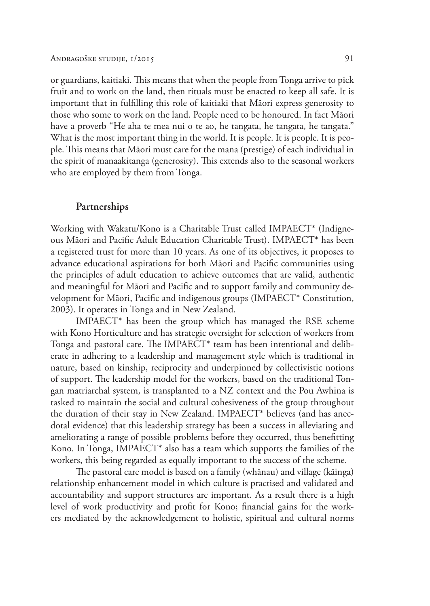or guardians, kaitiaki. This means that when the people from Tonga arrive to pick fruit and to work on the land, then rituals must be enacted to keep all safe. It is important that in fulfilling this role of kaitiaki that Māori express generosity to those who some to work on the land. People need to be honoured. In fact Māori have a proverb "He aha te mea nui o te ao, he tangata, he tangata, he tangata." What is the most important thing in the world. It is people. It is people. It is people. This means that Māori must care for the mana (prestige) of each individual in the spirit of manaakitanga (generosity). This extends also to the seasonal workers who are employed by them from Tonga.

#### **Partnerships**

Working with Wakatu/Kono is a Charitable Trust called IMPAECT\* (Indigneous Māori and Pacific Adult Education Charitable Trust). IMPAECT\* has been a registered trust for more than 10 years. As one of its objectives, it proposes to advance educational aspirations for both Māori and Pacific communities using the principles of adult education to achieve outcomes that are valid, authentic and meaningful for Māori and Pacific and to support family and community development for Māori, Pacific and indigenous groups (IMPAECT\* Constitution, 2003). It operates in Tonga and in New Zealand.

IMPAECT\* has been the group which has managed the RSE scheme with Kono Horticulture and has strategic oversight for selection of workers from Tonga and pastoral care. The IMPAECT\* team has been intentional and deliberate in adhering to a leadership and management style which is traditional in nature, based on kinship, reciprocity and underpinned by collectivistic notions of support. The leadership model for the workers, based on the traditional Tongan matriarchal system, is transplanted to a NZ context and the Pou Awhina is tasked to maintain the social and cultural cohesiveness of the group throughout the duration of their stay in New Zealand. IMPAECT\* believes (and has anecdotal evidence) that this leadership strategy has been a success in alleviating and ameliorating a range of possible problems before they occurred, thus benefitting Kono. In Tonga, IMPAECT\* also has a team which supports the families of the workers, this being regarded as equally important to the success of the scheme.

The pastoral care model is based on a family (whānau) and village (kāinga) relationship enhancement model in which culture is practised and validated and accountability and support structures are important. As a result there is a high level of work productivity and profit for Kono; financial gains for the workers mediated by the acknowledgement to holistic, spiritual and cultural norms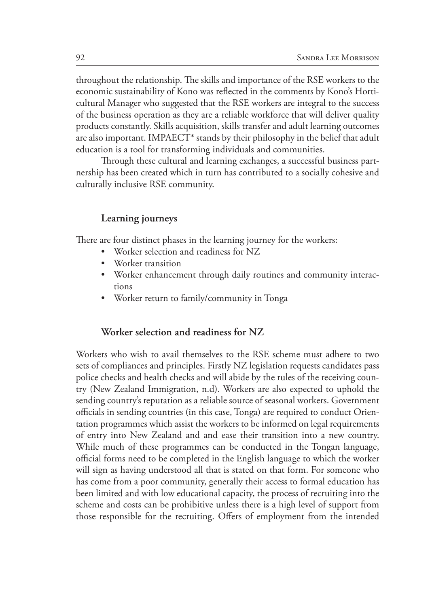throughout the relationship. The skills and importance of the RSE workers to the economic sustainability of Kono was reflected in the comments by Kono's Horticultural Manager who suggested that the RSE workers are integral to the success of the business operation as they are a reliable workforce that will deliver quality products constantly. Skills acquisition, skills transfer and adult learning outcomes are also important. IMPAECT\* stands by their philosophy in the belief that adult education is a tool for transforming individuals and communities.

Through these cultural and learning exchanges, a successful business partnership has been created which in turn has contributed to a socially cohesive and culturally inclusive RSE community.

## **Learning journeys**

There are four distinct phases in the learning journey for the workers:

- Worker selection and readiness for NZ
- Worker transition
- Worker enhancement through daily routines and community interactions
- Worker return to family/community in Tonga

## **Worker selection and readiness for NZ**

Workers who wish to avail themselves to the RSE scheme must adhere to two sets of compliances and principles. Firstly NZ legislation requests candidates pass police checks and health checks and will abide by the rules of the receiving country (New Zealand Immigration, n.d). Workers are also expected to uphold the sending country's reputation as a reliable source of seasonal workers. Government officials in sending countries (in this case, Tonga) are required to conduct Orientation programmes which assist the workers to be informed on legal requirements of entry into New Zealand and and ease their transition into a new country. While much of these programmes can be conducted in the Tongan language, official forms need to be completed in the English language to which the worker will sign as having understood all that is stated on that form. For someone who has come from a poor community, generally their access to formal education has been limited and with low educational capacity, the process of recruiting into the scheme and costs can be prohibitive unless there is a high level of support from those responsible for the recruiting. Offers of employment from the intended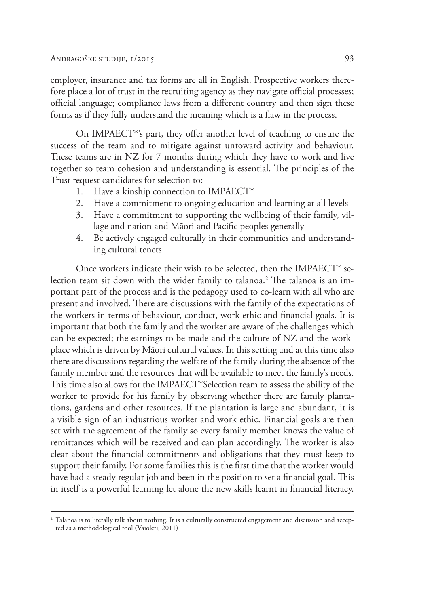employer, insurance and tax forms are all in English. Prospective workers therefore place a lot of trust in the recruiting agency as they navigate official processes; official language; compliance laws from a different country and then sign these forms as if they fully understand the meaning which is a flaw in the process.

On IMPAECT\*'s part, they offer another level of teaching to ensure the success of the team and to mitigate against untoward activity and behaviour. These teams are in NZ for 7 months during which they have to work and live together so team cohesion and understanding is essential. The principles of the Trust request candidates for selection to:

- 1. Have a kinship connection to IMPAECT\*
- 2. Have a commitment to ongoing education and learning at all levels
- 3. Have a commitment to supporting the wellbeing of their family, village and nation and Māori and Pacific peoples generally
- 4. Be actively engaged culturally in their communities and understanding cultural tenets

Once workers indicate their wish to be selected, then the IMPAECT\* selection team sit down with the wider family to talanoa.<sup>2</sup> The talanoa is an important part of the process and is the pedagogy used to co-learn with all who are present and involved. There are discussions with the family of the expectations of the workers in terms of behaviour, conduct, work ethic and financial goals. It is important that both the family and the worker are aware of the challenges which can be expected; the earnings to be made and the culture of NZ and the workplace which is driven by Māori cultural values. In this setting and at this time also there are discussions regarding the welfare of the family during the absence of the family member and the resources that will be available to meet the family's needs. This time also allows for the IMPAECT\*Selection team to assess the ability of the worker to provide for his family by observing whether there are family plantations, gardens and other resources. If the plantation is large and abundant, it is a visible sign of an industrious worker and work ethic. Financial goals are then set with the agreement of the family so every family member knows the value of remittances which will be received and can plan accordingly. The worker is also clear about the financial commitments and obligations that they must keep to support their family. For some families this is the first time that the worker would have had a steady regular job and been in the position to set a financial goal. This in itself is a powerful learning let alone the new skills learnt in financial literacy.

<sup>2</sup> Talanoa is to literally talk about nothing. It is a culturally constructed engagement and discussion and accepted as a methodological tool (Vaioleti, 2011)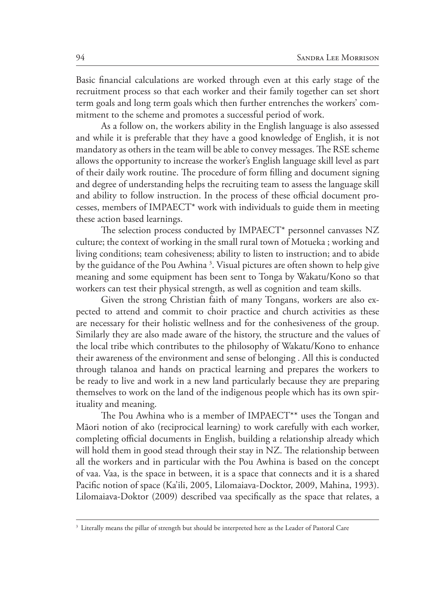Basic financial calculations are worked through even at this early stage of the recruitment process so that each worker and their family together can set short term goals and long term goals which then further entrenches the workers' commitment to the scheme and promotes a successful period of work.

As a follow on, the workers ability in the English language is also assessed and while it is preferable that they have a good knowledge of English, it is not mandatory as others in the team will be able to convey messages. The RSE scheme allows the opportunity to increase the worker's English language skill level as part of their daily work routine. The procedure of form filling and document signing and degree of understanding helps the recruiting team to assess the language skill and ability to follow instruction. In the process of these official document processes, members of IMPAECT\* work with individuals to guide them in meeting these action based learnings.

The selection process conducted by IMPAECT\* personnel canvasses NZ culture; the context of working in the small rural town of Motueka ; working and living conditions; team cohesiveness; ability to listen to instruction; and to abide by the guidance of the Pou Awhina 3 . Visual pictures are often shown to help give meaning and some equipment has been sent to Tonga by Wakatu/Kono so that workers can test their physical strength, as well as cognition and team skills.

Given the strong Christian faith of many Tongans, workers are also expected to attend and commit to choir practice and church activities as these are necessary for their holistic wellness and for the conhesiveness of the group. Similarly they are also made aware of the history, the structure and the values of the local tribe which contributes to the philosophy of Wakatu/Kono to enhance their awareness of the environment and sense of belonging . All this is conducted through talanoa and hands on practical learning and prepares the workers to be ready to live and work in a new land particularly because they are preparing themselves to work on the land of the indigenous people which has its own spirituality and meaning.

The Pou Awhina who is a member of IMPAECT\*\* uses the Tongan and Māori notion of ako (reciprocical learning) to work carefully with each worker, completing official documents in English, building a relationship already which will hold them in good stead through their stay in NZ. The relationship between all the workers and in particular with the Pou Awhina is based on the concept of vaa. Vaa, is the space in between, it is a space that connects and it is a shared Pacific notion of space (Ka'ili, 2005, Lilomaiava-Docktor, 2009, Mahina, 1993). Lilomaiava-Doktor (2009) described vaa specifically as the space that relates, a

<sup>&</sup>lt;sup>3</sup> Literally means the pillar of strength but should be interpreted here as the Leader of Pastoral Care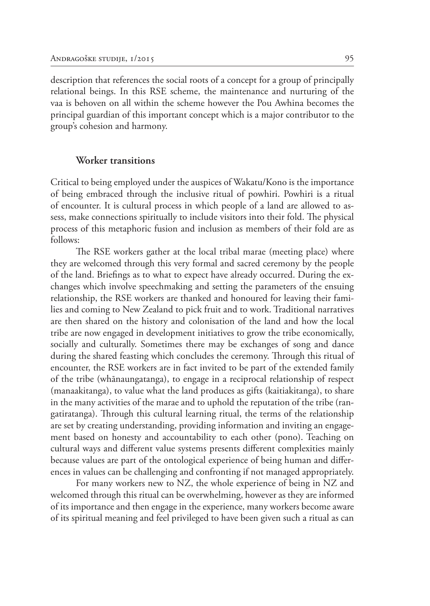description that references the social roots of a concept for a group of principally relational beings. In this RSE scheme, the maintenance and nurturing of the vaa is behoven on all within the scheme however the Pou Awhina becomes the principal guardian of this important concept which is a major contributor to the group's cohesion and harmony.

#### **Worker transitions**

Critical to being employed under the auspices of Wakatu/Kono is the importance of being embraced through the inclusive ritual of powhiri. Powhiri is a ritual of encounter. It is cultural process in which people of a land are allowed to assess, make connections spiritually to include visitors into their fold. The physical process of this metaphoric fusion and inclusion as members of their fold are as follows:

The RSE workers gather at the local tribal marae (meeting place) where they are welcomed through this very formal and sacred ceremony by the people of the land. Briefings as to what to expect have already occurred. During the exchanges which involve speechmaking and setting the parameters of the ensuing relationship, the RSE workers are thanked and honoured for leaving their families and coming to New Zealand to pick fruit and to work. Traditional narratives are then shared on the history and colonisation of the land and how the local tribe are now engaged in development initiatives to grow the tribe economically, socially and culturally. Sometimes there may be exchanges of song and dance during the shared feasting which concludes the ceremony. Through this ritual of encounter, the RSE workers are in fact invited to be part of the extended family of the tribe (whānaungatanga), to engage in a reciprocal relationship of respect (manaakitanga), to value what the land produces as gifts (kaitiakitanga), to share in the many activities of the marae and to uphold the reputation of the tribe (rangatiratanga). Through this cultural learning ritual, the terms of the relationship are set by creating understanding, providing information and inviting an engagement based on honesty and accountability to each other (pono). Teaching on cultural ways and different value systems presents different complexities mainly because values are part of the ontological experience of being human and differences in values can be challenging and confronting if not managed appropriately.

For many workers new to NZ, the whole experience of being in NZ and welcomed through this ritual can be overwhelming, however as they are informed of its importance and then engage in the experience, many workers become aware of its spiritual meaning and feel privileged to have been given such a ritual as can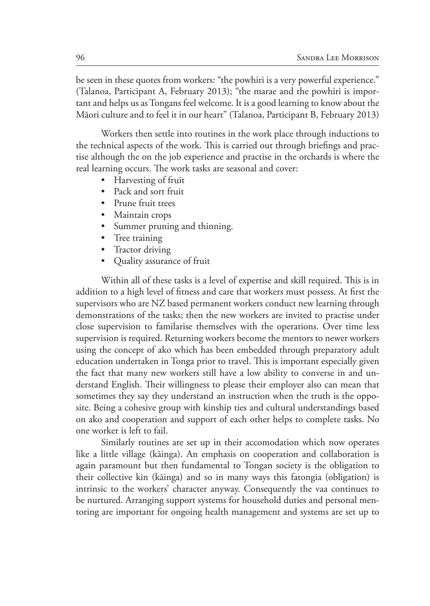be seen in these quotes from workers: "the powhiri is a very powerful experience." (Talanoa, Participant A, February 2013); "the marae and the powhiri is important and helps us as Tongans feel welcome. It is a good learning to know about the Māori culture and to feel it in our heart" (Talanoa, Participant B, February 2013)

Workers then settle into routines in the work place through inductions to the technical aspects of the work. This is carried out through briefings and practise although the on the job experience and practise in the orchards is where the real learning occurs. The work tasks are seasonal and cover:

- Harvesting of fruit
- Pack and sort fruit
- Prune fruit trees
- Maintain crops
- Summer pruning and thinning.
- Tree training
- Tractor driving
- Quality assurance of fruit

Within all of these tasks is a level of expertise and skill required. This is in addition to a high level of fitness and care that workers must possess. At first the supervisors who are NZ based permanent workers conduct new learning through demonstrations of the tasks; then the new workers are invited to practise under close supervision to familarise themselves with the operations. Over time less supervision is required. Returning workers become the mentors to newer workers using the concept of ako which has been embedded through preparatory adult education undertaken in Tonga prior to travel. This is important especially given the fact that many new workers still have a low ability to converse in and understand English. Their willingness to please their employer also can mean that sometimes they say they understand an instruction when the truth is the opposite. Being a cohesive group with kinship ties and cultural understandings based on ako and cooperation and support of each other helps to complete tasks. No one worker is left to fail.

Similarly routines are set up in their accomodation which now operates like a little village (kāinga). An emphasis on cooperation and collaboration is again paramount but then fundamental to Tongan society is the obligation to their collective kin (kāinga) and so in many ways this fatongia (obligation) is intrinsic to the workers' character anyway. Consequently the vaa continues to be nurtured. Arranging support systems for household duties and personal mentoring are important for ongoing health management and systems are set up to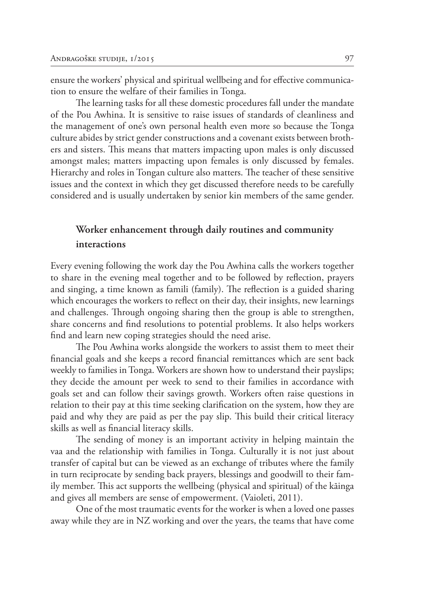ensure the workers' physical and spiritual wellbeing and for effective communication to ensure the welfare of their families in Tonga.

The learning tasks for all these domestic procedures fall under the mandate of the Pou Awhina. It is sensitive to raise issues of standards of cleanliness and the management of one's own personal health even more so because the Tonga culture abides by strict gender constructions and a covenant exists between brothers and sisters. This means that matters impacting upon males is only discussed amongst males; matters impacting upon females is only discussed by females. Hierarchy and roles in Tongan culture also matters. The teacher of these sensitive issues and the context in which they get discussed therefore needs to be carefully considered and is usually undertaken by senior kin members of the same gender.

## **Worker enhancement through daily routines and community interactions**

Every evening following the work day the Pou Awhina calls the workers together to share in the evening meal together and to be followed by reflection, prayers and singing, a time known as famili (family). The reflection is a guided sharing which encourages the workers to reflect on their day, their insights, new learnings and challenges. Through ongoing sharing then the group is able to strengthen, share concerns and find resolutions to potential problems. It also helps workers find and learn new coping strategies should the need arise.

The Pou Awhina works alongside the workers to assist them to meet their financial goals and she keeps a record financial remittances which are sent back weekly to families in Tonga. Workers are shown how to understand their payslips; they decide the amount per week to send to their families in accordance with goals set and can follow their savings growth. Workers often raise questions in relation to their pay at this time seeking clarification on the system, how they are paid and why they are paid as per the pay slip. This build their critical literacy skills as well as financial literacy skills.

The sending of money is an important activity in helping maintain the vaa and the relationship with families in Tonga. Culturally it is not just about transfer of capital but can be viewed as an exchange of tributes where the family in turn reciprocate by sending back prayers, blessings and goodwill to their family member. This act supports the wellbeing (physical and spiritual) of the kāinga and gives all members are sense of empowerment. (Vaioleti, 2011).

One of the most traumatic events for the worker is when a loved one passes away while they are in NZ working and over the years, the teams that have come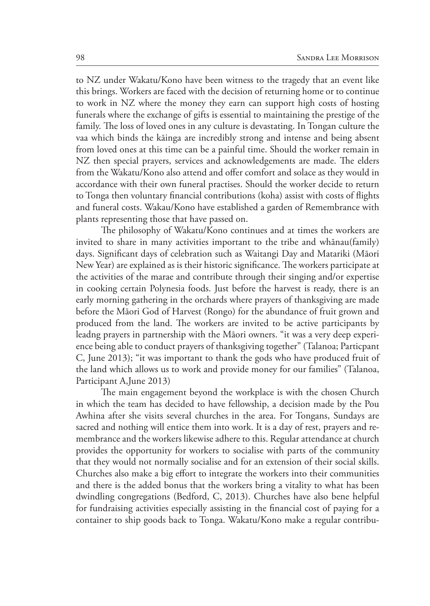to NZ under Wakatu/Kono have been witness to the tragedy that an event like this brings. Workers are faced with the decision of returning home or to continue to work in NZ where the money they earn can support high costs of hosting funerals where the exchange of gifts is essential to maintaining the prestige of the family. The loss of loved ones in any culture is devastating. In Tongan culture the vaa which binds the kāinga are incredibly strong and intense and being absent from loved ones at this time can be a painful time. Should the worker remain in NZ then special prayers, services and acknowledgements are made. The elders from the Wakatu/Kono also attend and offer comfort and solace as they would in accordance with their own funeral practises. Should the worker decide to return to Tonga then voluntary financial contributions (koha) assist with costs of flights and funeral costs. Wakau/Kono have established a garden of Remembrance with plants representing those that have passed on.

The philosophy of Wakatu/Kono continues and at times the workers are invited to share in many activities important to the tribe and whānau(family) days. Significant days of celebration such as Waitangi Day and Matariki (Māori New Year) are explained as is their historic significance. The workers participate at the activities of the marae and contribute through their singing and/or expertise in cooking certain Polynesia foods. Just before the harvest is ready, there is an early morning gathering in the orchards where prayers of thanksgiving are made before the Māori God of Harvest (Rongo) for the abundance of fruit grown and produced from the land. The workers are invited to be active participants by leadng prayers in partnership with the Māori owners. "it was a very deep experience being able to conduct prayers of thanksgiving together" (Talanoa; Particpant C, June 2013); "it was important to thank the gods who have produced fruit of the land which allows us to work and provide money for our families" (Talanoa, Participant A,June 2013)

The main engagement beyond the workplace is with the chosen Church in which the team has decided to have fellowship, a decision made by the Pou Awhina after she visits several churches in the area. For Tongans, Sundays are sacred and nothing will entice them into work. It is a day of rest, prayers and remembrance and the workers likewise adhere to this. Regular attendance at church provides the opportunity for workers to socialise with parts of the community that they would not normally socialise and for an extension of their social skills. Churches also make a big effort to integrate the workers into their communities and there is the added bonus that the workers bring a vitality to what has been dwindling congregations (Bedford, C, 2013). Churches have also bene helpful for fundraising activities especially assisting in the financial cost of paying for a container to ship goods back to Tonga. Wakatu/Kono make a regular contribu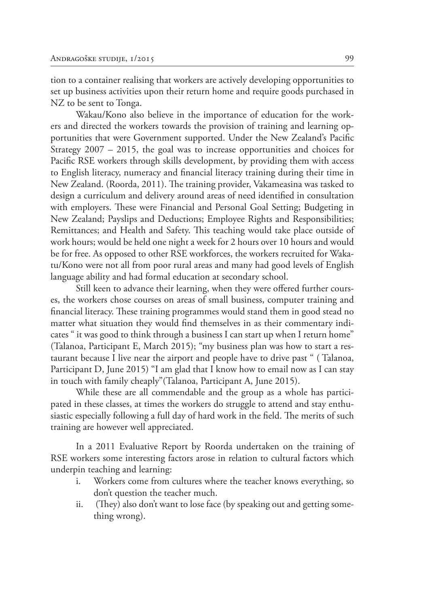tion to a container realising that workers are actively developing opportunities to set up business activities upon their return home and require goods purchased in NZ to be sent to Tonga.

Wakau/Kono also believe in the importance of education for the workers and directed the workers towards the provision of training and learning opportunities that were Government supported. Under the New Zealand's Pacific Strategy 2007 – 2015, the goal was to increase opportunities and choices for Pacific RSE workers through skills development, by providing them with access to English literacy, numeracy and financial literacy training during their time in New Zealand. (Roorda, 2011). The training provider, Vakameasina was tasked to design a curriculum and delivery around areas of need identified in consultation with employers. These were Financial and Personal Goal Setting; Budgeting in New Zealand; Payslips and Deductions; Employee Rights and Responsibilities; Remittances; and Health and Safety. This teaching would take place outside of work hours; would be held one night a week for 2 hours over 10 hours and would be for free. As opposed to other RSE workforces, the workers recruited for Wakatu/Kono were not all from poor rural areas and many had good levels of English language ability and had formal education at secondary school.

Still keen to advance their learning, when they were offered further courses, the workers chose courses on areas of small business, computer training and financial literacy. These training programmes would stand them in good stead no matter what situation they would find themselves in as their commentary indicates " it was good to think through a business I can start up when I return home" (Talanoa, Participant E, March 2015); "my business plan was how to start a restaurant because I live near the airport and people have to drive past " ( Talanoa, Participant D, June 2015) "I am glad that I know how to email now as I can stay in touch with family cheaply"(Talanoa, Participant A, June 2015).

While these are all commendable and the group as a whole has participated in these classes, at times the workers do struggle to attend and stay enthusiastic especially following a full day of hard work in the field. The merits of such training are however well appreciated.

In a 2011 Evaluative Report by Roorda undertaken on the training of RSE workers some interesting factors arose in relation to cultural factors which underpin teaching and learning:

- i. Workers come from cultures where the teacher knows everything, so don't question the teacher much.
- ii. (They) also don't want to lose face (by speaking out and getting something wrong).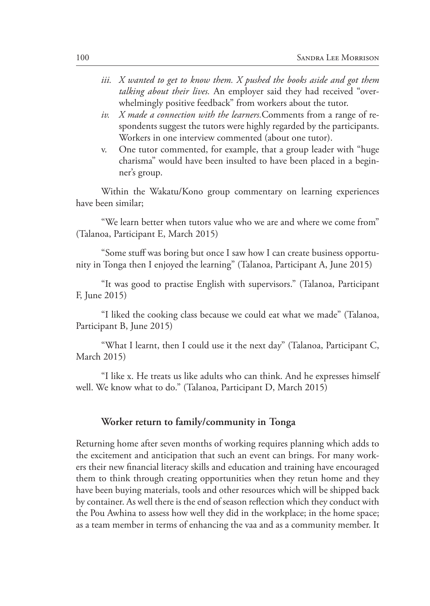- *iii. X wanted to get to know them. X pushed the books aside and got them talking about their lives.* An employer said they had received "overwhelmingly positive feedback" from workers about the tutor.
- *iv. X made a connection with the learners.*Comments from a range of respondents suggest the tutors were highly regarded by the participants. Workers in one interview commented (about one tutor).
- v. One tutor commented, for example, that a group leader with "huge charisma" would have been insulted to have been placed in a beginner's group.

Within the Wakatu/Kono group commentary on learning experiences have been similar;

"We learn better when tutors value who we are and where we come from" (Talanoa, Participant E, March 2015)

"Some stuff was boring but once I saw how I can create business opportunity in Tonga then I enjoyed the learning" (Talanoa, Participant A, June 2015)

"It was good to practise English with supervisors." (Talanoa, Participant F, June 2015)

"I liked the cooking class because we could eat what we made" (Talanoa, Participant B, June 2015)

"What I learnt, then I could use it the next day" (Talanoa, Participant C, March 2015)

"I like x. He treats us like adults who can think. And he expresses himself well. We know what to do." (Talanoa, Participant D, March 2015)

#### **Worker return to family/community in Tonga**

Returning home after seven months of working requires planning which adds to the excitement and anticipation that such an event can brings. For many workers their new financial literacy skills and education and training have encouraged them to think through creating opportunities when they retun home and they have been buying materials, tools and other resources which will be shipped back by container. As well there is the end of season reflection which they conduct with the Pou Awhina to assess how well they did in the workplace; in the home space; as a team member in terms of enhancing the vaa and as a community member. It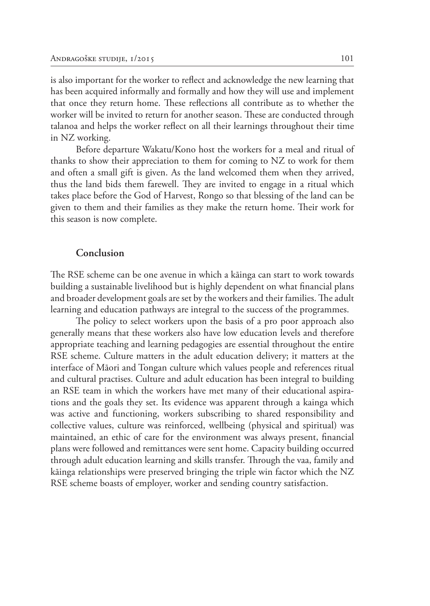is also important for the worker to reflect and acknowledge the new learning that has been acquired informally and formally and how they will use and implement that once they return home. These reflections all contribute as to whether the worker will be invited to return for another season. These are conducted through talanoa and helps the worker reflect on all their learnings throughout their time in NZ working.

Before departure Wakatu/Kono host the workers for a meal and ritual of thanks to show their appreciation to them for coming to NZ to work for them and often a small gift is given. As the land welcomed them when they arrived, thus the land bids them farewell. They are invited to engage in a ritual which takes place before the God of Harvest, Rongo so that blessing of the land can be given to them and their families as they make the return home. Their work for this season is now complete.

#### **Conclusion**

The RSE scheme can be one avenue in which a kāinga can start to work towards building a sustainable livelihood but is highly dependent on what financial plans and broader development goals are set by the workers and their families. The adult learning and education pathways are integral to the success of the programmes.

The policy to select workers upon the basis of a pro poor approach also generally means that these workers also have low education levels and therefore appropriate teaching and learning pedagogies are essential throughout the entire RSE scheme. Culture matters in the adult education delivery; it matters at the interface of Māori and Tongan culture which values people and references ritual and cultural practises. Culture and adult education has been integral to building an RSE team in which the workers have met many of their educational aspirations and the goals they set. Its evidence was apparent through a kainga which was active and functioning, workers subscribing to shared responsibility and collective values, culture was reinforced, wellbeing (physical and spiritual) was maintained, an ethic of care for the environment was always present, financial plans were followed and remittances were sent home. Capacity building occurred through adult education learning and skills transfer. Through the vaa, family and kāinga relationships were preserved bringing the triple win factor which the NZ RSE scheme boasts of employer, worker and sending country satisfaction.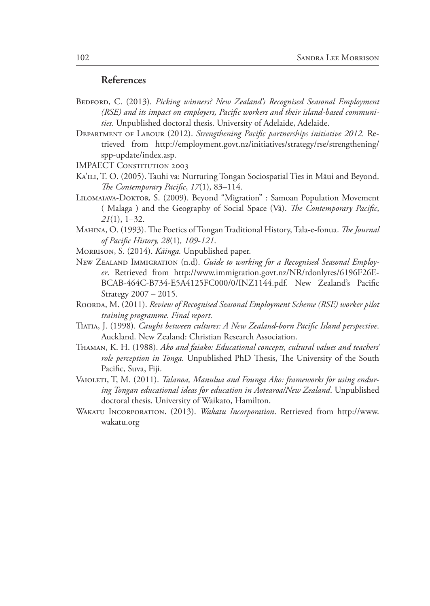### **References**

- BEDFORD, C. (2013). *Picking winners? New Zealand's Recognised Seasonal Employment (RSE) and its impact on employers, Pacific workers and their island-based communities.* Unpublished doctoral thesis. University of Adelaide, Adelaide.
- Department of Labour (2012). *Strengthening Pacific partnerships initiative 2012.* Retrieved from http://employment.govt.nz/initiatives/strategy/rse/strengthening/ spp-update/index.asp.
- **IMPAECT CONSTITUTION 2003**
- KA'ILI, T. O. (2005). Tauhi va: Nurturing Tongan Sociospatial Ties in Māui and Beyond. *The Contemporary Pacific*, *17*(1), 83–114.
- LILOMAIAVA-DOKTOR, S. (2009). Beyond "Migration" : Samoan Population Movement ( Malaga ) and the Geography of Social Space (Vā). *The Contemporary Pacific*, *21*(1), 1–32.
- Mahina, O. (1993). The Poetics of Tongan Traditional History, Tala-e-fonua. *The Journal of Pacific History, 28*(1)*, 109-121*.
- Morrison, S. (2014). *Kāinga.* Unpublished paper.
- NEW ZEALAND IMMIGRATION (n.d). Guide to working for a Recognised Seasonal Employ*er*. Retrieved from http://www.immigration.govt.nz/NR/rdonlyres/6196F26E-BCAB-464C-B734-E5A4125FC000/0/INZ1144.pdf. New Zealand's Pacific Strategy 2007 – 2015.
- ROORDA, M. (2011). *Review of Recognised Seasonal Employment Scheme (RSE) worker pilot training programme. Final report.*
- Tiatia, J. (1998). *Caught between cultures: A New Zealand-born Pacific Island perspective*. Auckland. New Zealand: Christian Research Association.
- Thaman, K. H. (1988). *Ako and faiako: Educational concepts, cultural values and teachers' role perception in Tonga.* Unpublished PhD Thesis, The University of the South Pacific, Suva, Fiji.
- Vaioleti, T, M. (2011). *Talanoa, Manulua and Founga Ako: frameworks for using enduring Tongan educational ideas for education in Aotearoa/New Zealand*. Unpublished doctoral thesis. University of Waikato, Hamilton.
- Wakatu Incorporation. (2013). *Wakatu Incorporation*. Retrieved from http://www. wakatu.org